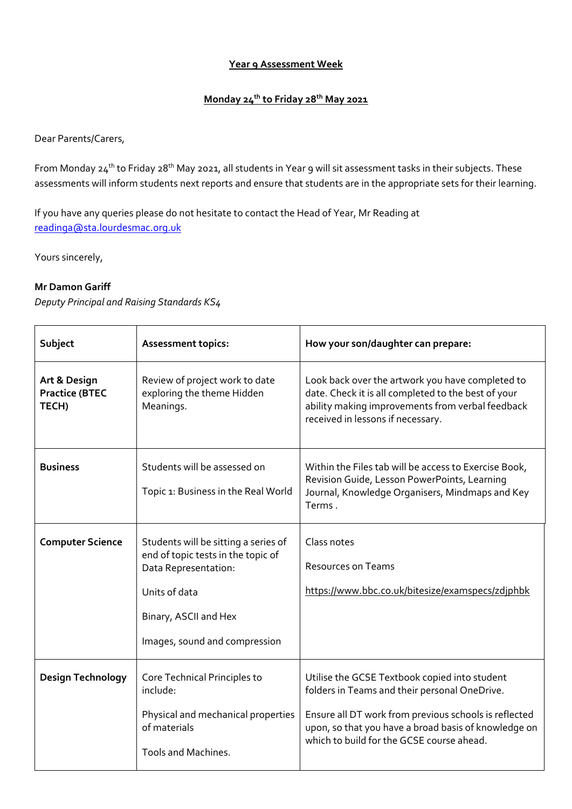## **Year 9 Assessment Week**

## **Monday 24th to Friday 28th May 2021**

Dear Parents/Carers,

From Monday 24<sup>th</sup> to Friday 28<sup>th</sup> May 2021, all students in Year 9 will sit assessment tasks in their subjects. These assessments will inform students next reports and ensure that students are in the appropriate sets for their learning.

If you have any queries please do not hesitate to contact the Head of Year, Mr Reading at [readinga@sta.lourdesmac.org.uk](mailto:readinga@saintsa.co.uk)

Yours sincerely,

## **Mr Damon Gariff**

*Deputy Principal and Raising Standards KS4*

| Subject                                        | <b>Assessment topics:</b>                                                                                                                                                     | How your son/daughter can prepare:                                                                                                                                                                                                                           |
|------------------------------------------------|-------------------------------------------------------------------------------------------------------------------------------------------------------------------------------|--------------------------------------------------------------------------------------------------------------------------------------------------------------------------------------------------------------------------------------------------------------|
| Art & Design<br><b>Practice (BTEC</b><br>TECH) | Review of project work to date<br>exploring the theme Hidden<br>Meanings.                                                                                                     | Look back over the artwork you have completed to<br>date. Check it is all completed to the best of your<br>ability making improvements from verbal feedback<br>received in lessons if necessary.                                                             |
| <b>Business</b>                                | Students will be assessed on<br>Topic 1: Business in the Real World                                                                                                           | Within the Files tab will be access to Exercise Book,<br>Revision Guide, Lesson PowerPoints, Learning<br>Journal, Knowledge Organisers, Mindmaps and Key<br>Terms.                                                                                           |
| <b>Computer Science</b>                        | Students will be sitting a series of<br>end of topic tests in the topic of<br>Data Representation:<br>Units of data<br>Binary, ASCII and Hex<br>Images, sound and compression | Class notes<br><b>Resources on Teams</b><br>https://www.bbc.co.uk/bitesize/examspecs/zdjphbk                                                                                                                                                                 |
| Design Technology                              | Core Technical Principles to<br>include:<br>Physical and mechanical properties<br>of materials<br><b>Tools and Machines.</b>                                                  | Utilise the GCSE Textbook copied into student<br>folders in Teams and their personal OneDrive.<br>Ensure all DT work from previous schools is reflected<br>upon, so that you have a broad basis of knowledge on<br>which to build for the GCSE course ahead. |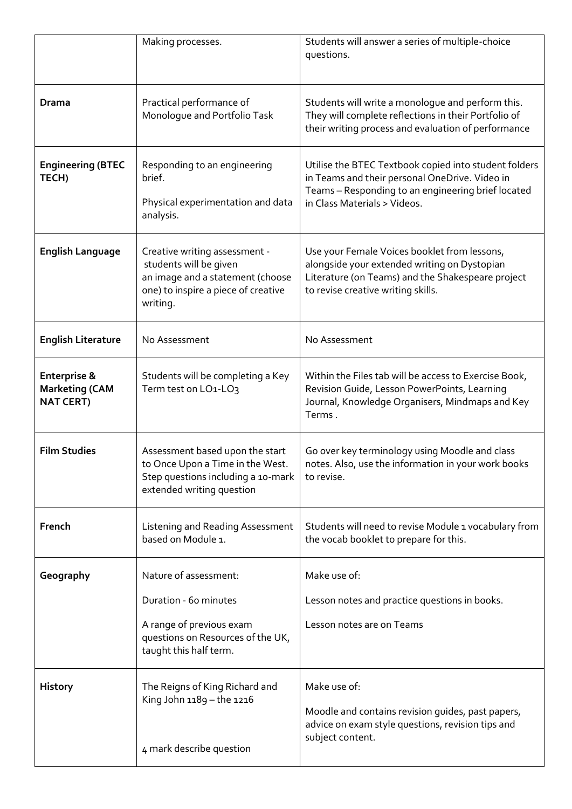|                                                                      | Making processes.                                                                                                                              | Students will answer a series of multiple-choice<br>questions.                                                                                                                                |
|----------------------------------------------------------------------|------------------------------------------------------------------------------------------------------------------------------------------------|-----------------------------------------------------------------------------------------------------------------------------------------------------------------------------------------------|
| Drama                                                                | Practical performance of<br>Monologue and Portfolio Task                                                                                       | Students will write a monologue and perform this.<br>They will complete reflections in their Portfolio of<br>their writing process and evaluation of performance                              |
| <b>Engineering (BTEC</b><br>TECH)                                    | Responding to an engineering<br>brief.<br>Physical experimentation and data<br>analysis.                                                       | Utilise the BTEC Textbook copied into student folders<br>in Teams and their personal OneDrive. Video in<br>Teams - Responding to an engineering brief located<br>in Class Materials > Videos. |
| <b>English Language</b>                                              | Creative writing assessment -<br>students will be given<br>an image and a statement (choose<br>one) to inspire a piece of creative<br>writing. | Use your Female Voices booklet from lessons,<br>alongside your extended writing on Dystopian<br>Literature (on Teams) and the Shakespeare project<br>to revise creative writing skills.       |
| <b>English Literature</b>                                            | No Assessment                                                                                                                                  | No Assessment                                                                                                                                                                                 |
| <b>Enterprise &amp;</b><br><b>Marketing (CAM</b><br><b>NAT CERT)</b> | Students will be completing a Key<br>Term test on LO1-LO3                                                                                      | Within the Files tab will be access to Exercise Book,<br>Revision Guide, Lesson PowerPoints, Learning<br>Journal, Knowledge Organisers, Mindmaps and Key<br>Terms.                            |
| <b>Film Studies</b>                                                  | Assessment based upon the start<br>to Once Upon a Time in the West.<br>Step questions including a 10-mark<br>extended writing question         | Go over key terminology using Moodle and class<br>notes. Also, use the information in your work books<br>to revise.                                                                           |
| French                                                               | Listening and Reading Assessment<br>based on Module 1.                                                                                         | Students will need to revise Module 1 vocabulary from<br>the vocab booklet to prepare for this.                                                                                               |
| Geography                                                            | Nature of assessment:                                                                                                                          | Make use of:                                                                                                                                                                                  |
|                                                                      | Duration - 60 minutes<br>A range of previous exam<br>questions on Resources of the UK,<br>taught this half term.                               | Lesson notes and practice questions in books.<br>Lesson notes are on Teams                                                                                                                    |
| <b>History</b>                                                       | The Reigns of King Richard and<br>King John 1189 - the 1216<br>4 mark describe question                                                        | Make use of:<br>Moodle and contains revision guides, past papers,<br>advice on exam style questions, revision tips and<br>subject content.                                                    |
|                                                                      |                                                                                                                                                |                                                                                                                                                                                               |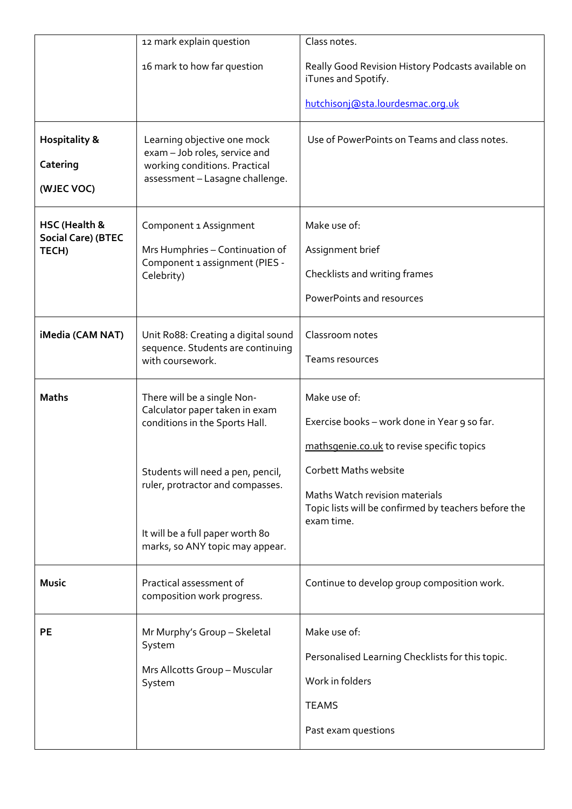|                                                     | 12 mark explain question                                                                                                                     | Class notes.                                                                                                                  |
|-----------------------------------------------------|----------------------------------------------------------------------------------------------------------------------------------------------|-------------------------------------------------------------------------------------------------------------------------------|
|                                                     | 16 mark to how far question                                                                                                                  | Really Good Revision History Podcasts available on<br>iTunes and Spotify.                                                     |
|                                                     |                                                                                                                                              | hutchisonj@sta.lourdesmac.org.uk                                                                                              |
| <b>Hospitality &amp;</b><br>Catering<br>(WJEC VOC)  | Learning objective one mock<br>exam - Job roles, service and<br>working conditions. Practical<br>assessment - Lasagne challenge.             | Use of PowerPoints on Teams and class notes.                                                                                  |
| HSC (Health &<br><b>Social Care) (BTEC</b><br>TECH) | Component 1 Assignment<br>Mrs Humphries - Continuation of<br>Component 1 assignment (PIES -<br>Celebrity)                                    | Make use of:<br>Assignment brief<br>Checklists and writing frames<br>PowerPoints and resources                                |
| iMedia (CAM NAT)                                    | Unit Ro88: Creating a digital sound<br>sequence. Students are continuing<br>with coursework.                                                 | Classroom notes<br>Teams resources                                                                                            |
| <b>Maths</b>                                        | There will be a single Non-<br>Calculator paper taken in exam<br>conditions in the Sports Hall.                                              | Make use of:<br>Exercise books - work done in Year 9 so far.<br>mathsgenie.co.uk to revise specific topics                    |
|                                                     | Students will need a pen, pencil,<br>ruler, protractor and compasses.<br>It will be a full paper worth 80<br>marks, so ANY topic may appear. | Corbett Maths website<br>Maths Watch revision materials<br>Topic lists will be confirmed by teachers before the<br>exam time. |
| <b>Music</b>                                        | Practical assessment of<br>composition work progress.                                                                                        | Continue to develop group composition work.                                                                                   |
| PE                                                  | Mr Murphy's Group - Skeletal<br>System<br>Mrs Allcotts Group - Muscular<br>System                                                            | Make use of:<br>Personalised Learning Checklists for this topic.<br>Work in folders<br><b>TEAMS</b><br>Past exam questions    |